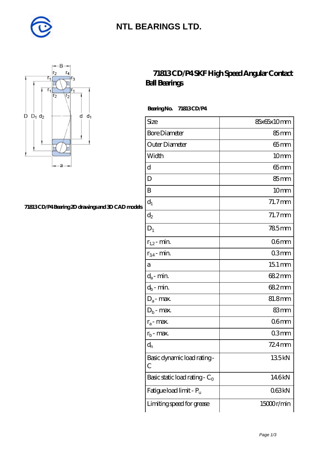

## **[NTL BEARINGS LTD.](https://m.diabetesfriends.net)**



#### **[71813 CD/P4 Bearing 2D drawings and 3D CAD models](https://m.diabetesfriends.net/pic-590794.html)**

### **[71813 CD/P4 SKF High Speed Angular Contact](https://m.diabetesfriends.net/skf-bearing/71813-cd-p4.html) [Ball Bearings](https://m.diabetesfriends.net/skf-bearing/71813-cd-p4.html)**

 **Bearing No. 71813 CD/P4**

| Size                             | 85x65x10mm          |
|----------------------------------|---------------------|
| <b>Bore Diameter</b>             | 85mm                |
| Outer Diameter                   | $65$ mm             |
| Width                            | 10 <sub>mm</sub>    |
| d                                | $65 \text{mm}$      |
| D                                | $85 \text{mm}$      |
| B                                | 10 <sub>mm</sub>    |
| $\mathbf{d}_1$                   | $71.7$ mm           |
| $\mathrm{d}_2$                   | $71.7$ mm           |
| $\mathbf{D}_1$                   | 785mm               |
| $r_{1,2}$ - min.                 | 06 <sub>mm</sub>    |
| $r_{34}$ - min.                  | 03mm                |
| а                                | $151 \,\mathrm{mm}$ |
| $d_a$ - min.                     | 682mm               |
| $d_b$ - min.                     | 682mm               |
| $D_a$ - max.                     | 81.8mm              |
| $D_b$ - max.                     | 83mm                |
| $r_a$ - max.                     | 06 <sub>mm</sub>    |
| $r_{b}$ - max.                   | 03mm                |
| $\mathbf{d}_{\rm n}$             | $724$ mm            |
| Basic dynamic load rating-<br>С  | 135kN               |
| Basic static load rating - $C_0$ | 146kN               |
| Fatigue load limit - Pu          | 063kN               |
| Limiting speed for grease        | 15000r/min          |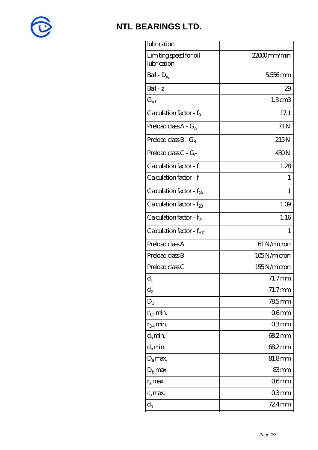

## **[NTL BEARINGS LTD.](https://m.diabetesfriends.net)**

| lubrication                           |                    |
|---------------------------------------|--------------------|
| Limiting speed for oil<br>lubrication | 22000mm/min        |
| Ball - $D_w$                          | 5556mm             |
| Ball - z                              | 29                 |
| $G_{ref}$                             | 1.3 <sub>cm3</sub> |
| Calculation factor - $f_0$            | 17.1               |
| Preload class $A - G_A$               | 71 N               |
| Preload class $B - G_B$               | 215N               |
| Preload class $C - G_C$               | 430N               |
| Calculation factor - f                | 1.28               |
| Calculation factor - f                | 1                  |
| Calculation factor - $f_{2A}$         | 1                  |
| Calculation factor - $f_{\rm 2B}$     | 1.09               |
| Calculation factor - $f_{\chi}$       | 1.16               |
| Calculation factor - $f_{HC}$         | $\mathbf{1}$       |
| Preload class A                       | 61 N/micron        |
| Preload class B                       | 105N/micron        |
| Preload class C                       | 155N/micron        |
| $d_1$                                 | $71.7$ mm          |
| $\mathrm{d}_2$                        | 71.7mm             |
| $D_1$                                 | 785mm              |
| $r_{1,2}$ min.                        | 06 <sub>mm</sub>   |
|                                       |                    |
| $r_{34}$ min.                         | 03 <sub>mm</sub>   |
| $d_a$ min.                            | 682mm              |
| $d_h$ min.                            | 682mm              |
| $D_a$ max.                            | 81.8mm             |
| $D_{b}$ max.                          | 83mm               |
| $r_a$ max.                            | 06 <sub>mm</sub>   |
| $r_{\rm b}$ max.                      | 03 <sub>mm</sub>   |